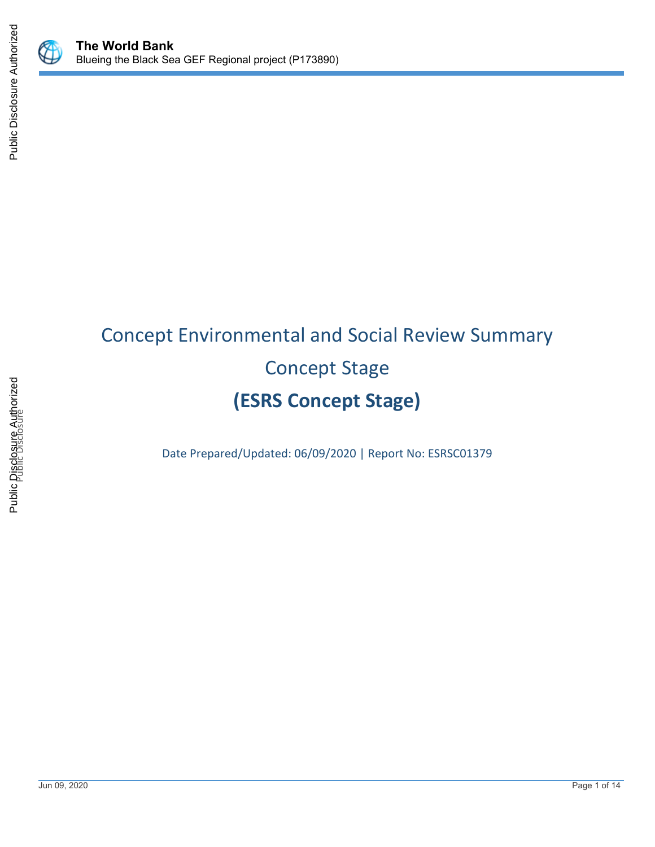

# Concept Environmental and Social Review Summary Concept Stage **(ESRS Concept Stage)**

Date Prepared/Updated: 06/09/2020 | Report No: ESRSC01379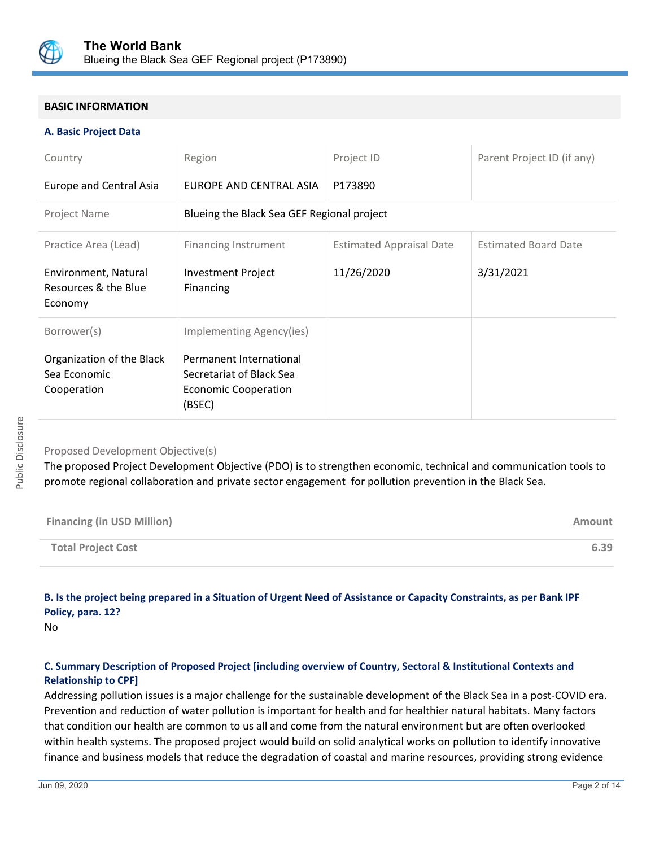

# **BASIC INFORMATION**

## **A. Basic Project Data**

| Country                                                  | Region                                                                                       | Project ID                      | Parent Project ID (if any)  |
|----------------------------------------------------------|----------------------------------------------------------------------------------------------|---------------------------------|-----------------------------|
| Europe and Central Asia                                  | EUROPE AND CENTRAL ASIA                                                                      | P173890                         |                             |
| Project Name                                             | Blueing the Black Sea GEF Regional project                                                   |                                 |                             |
| Practice Area (Lead)                                     | <b>Financing Instrument</b>                                                                  | <b>Estimated Appraisal Date</b> | <b>Estimated Board Date</b> |
| Environment, Natural<br>Resources & the Blue<br>Economy  | <b>Investment Project</b><br>Financing                                                       | 11/26/2020                      | 3/31/2021                   |
| Borrower(s)                                              | Implementing Agency(ies)                                                                     |                                 |                             |
| Organization of the Black<br>Sea Economic<br>Cooperation | Permanent International<br>Secretariat of Black Sea<br><b>Economic Cooperation</b><br>(BSEC) |                                 |                             |

## Proposed Development Objective(s)

The proposed Project Development Objective (PDO) is to strengthen economic, technical and communication tools to promote regional collaboration and private sector engagement for pollution prevention in the Black Sea.

| <b>Financing (in USD Million)</b> | Amount |
|-----------------------------------|--------|
| <b>Total Project Cost</b>         | 6.39   |

# **B. Is the project being prepared in a Situation of Urgent Need of Assistance or Capacity Constraints, as per Bank IPF Policy, para. 12?**

No

# **C. Summary Description of Proposed Project [including overview of Country, Sectoral & Institutional Contexts and Relationship to CPF]**

Addressing pollution issues is a major challenge for the sustainable development of the Black Sea in a post-COVID era. Prevention and reduction of water pollution is important for health and for healthier natural habitats. Many factors that condition our health are common to us all and come from the natural environment but are often overlooked within health systems. The proposed project would build on solid analytical works on pollution to identify innovative finance and business models that reduce the degradation of coastal and marine resources, providing strong evidence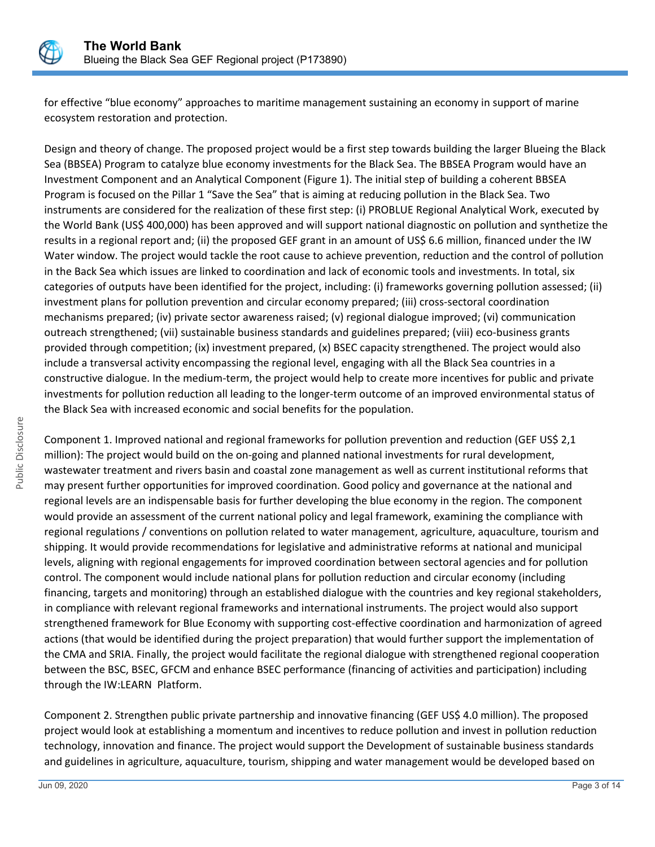

for effective "blue economy" approaches to maritime management sustaining an economy in support of marine ecosystem restoration and protection.

Design and theory of change. The proposed project would be a first step towards building the larger Blueing the Black Sea (BBSEA) Program to catalyze blue economy investments for the Black Sea. The BBSEA Program would have an Investment Component and an Analytical Component (Figure 1). The initial step of building a coherent BBSEA Program is focused on the Pillar 1 "Save the Sea" that is aiming at reducing pollution in the Black Sea. Two instruments are considered for the realization of these first step: (i) PROBLUE Regional Analytical Work, executed by the World Bank (US\$ 400,000) has been approved and will support national diagnostic on pollution and synthetize the results in a regional report and; (ii) the proposed GEF grant in an amount of US\$ 6.6 million, financed under the IW Water window. The project would tackle the root cause to achieve prevention, reduction and the control of pollution in the Back Sea which issues are linked to coordination and lack of economic tools and investments. In total, six categories of outputs have been identified for the project, including: (i) frameworks governing pollution assessed; (ii) investment plans for pollution prevention and circular economy prepared; (iii) cross-sectoral coordination mechanisms prepared; (iv) private sector awareness raised; (v) regional dialogue improved; (vi) communication outreach strengthened; (vii) sustainable business standards and guidelines prepared; (viii) eco-business grants provided through competition; (ix) investment prepared, (x) BSEC capacity strengthened. The project would also include a transversal activity encompassing the regional level, engaging with all the Black Sea countries in a constructive dialogue. In the medium-term, the project would help to create more incentives for public and private investments for pollution reduction all leading to the longer-term outcome of an improved environmental status of the Black Sea with increased economic and social benefits for the population.

Component 1. Improved national and regional frameworks for pollution prevention and reduction (GEF US\$ 2,1 million): The project would build on the on-going and planned national investments for rural development, wastewater treatment and rivers basin and coastal zone management as well as current institutional reforms that may present further opportunities for improved coordination. Good policy and governance at the national and regional levels are an indispensable basis for further developing the blue economy in the region. The component would provide an assessment of the current national policy and legal framework, examining the compliance with regional regulations / conventions on pollution related to water management, agriculture, aquaculture, tourism and shipping. It would provide recommendations for legislative and administrative reforms at national and municipal levels, aligning with regional engagements for improved coordination between sectoral agencies and for pollution control. The component would include national plans for pollution reduction and circular economy (including financing, targets and monitoring) through an established dialogue with the countries and key regional stakeholders, in compliance with relevant regional frameworks and international instruments. The project would also support strengthened framework for Blue Economy with supporting cost-effective coordination and harmonization of agreed actions (that would be identified during the project preparation) that would further support the implementation of the CMA and SRIA. Finally, the project would facilitate the regional dialogue with strengthened regional cooperation between the BSC, BSEC, GFCM and enhance BSEC performance (financing of activities and participation) including through the IW:LEARN Platform.

Component 2. Strengthen public private partnership and innovative financing (GEF US\$ 4.0 million). The proposed project would look at establishing a momentum and incentives to reduce pollution and invest in pollution reduction technology, innovation and finance. The project would support the Development of sustainable business standards and guidelines in agriculture, aquaculture, tourism, shipping and water management would be developed based on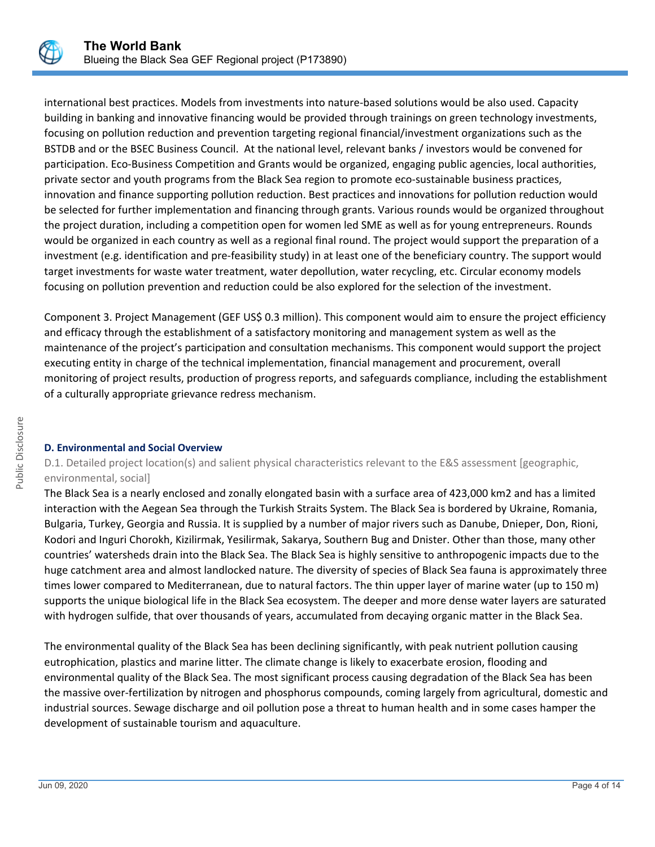

international best practices. Models from investments into nature-based solutions would be also used. Capacity building in banking and innovative financing would be provided through trainings on green technology investments, focusing on pollution reduction and prevention targeting regional financial/investment organizations such as the BSTDB and or the BSEC Business Council. At the national level, relevant banks / investors would be convened for participation. Eco-Business Competition and Grants would be organized, engaging public agencies, local authorities, private sector and youth programs from the Black Sea region to promote eco-sustainable business practices, innovation and finance supporting pollution reduction. Best practices and innovations for pollution reduction would be selected for further implementation and financing through grants. Various rounds would be organized throughout the project duration, including a competition open for women led SME as well as for young entrepreneurs. Rounds would be organized in each country as well as a regional final round. The project would support the preparation of a investment (e.g. identification and pre-feasibility study) in at least one of the beneficiary country. The support would target investments for waste water treatment, water depollution, water recycling, etc. Circular economy models focusing on pollution prevention and reduction could be also explored for the selection of the investment.

Component 3. Project Management (GEF US\$ 0.3 million). This component would aim to ensure the project efficiency and efficacy through the establishment of a satisfactory monitoring and management system as well as the maintenance of the project's participation and consultation mechanisms. This component would support the project executing entity in charge of the technical implementation, financial management and procurement, overall monitoring of project results, production of progress reports, and safeguards compliance, including the establishment of a culturally appropriate grievance redress mechanism.

## **D. Environmental and Social Overview**

D.1. Detailed project location(s) and salient physical characteristics relevant to the E&S assessment [geographic, environmental, social]

The Black Sea is a nearly enclosed and zonally elongated basin with a surface area of 423,000 km2 and has a limited interaction with the Aegean Sea through the Turkish Straits System. The Black Sea is bordered by Ukraine, Romania, Bulgaria, Turkey, Georgia and Russia. It is supplied by a number of major rivers such as Danube, Dnieper, Don, Rioni, Kodori and Inguri Chorokh, Kizilirmak, Yesilirmak, Sakarya, Southern Bug and Dnister. Other than those, many other countries' watersheds drain into the Black Sea. The Black Sea is highly sensitive to anthropogenic impacts due to the huge catchment area and almost landlocked nature. The diversity of species of Black Sea fauna is approximately three times lower compared to Mediterranean, due to natural factors. The thin upper layer of marine water (up to 150 m) supports the unique biological life in the Black Sea ecosystem. The deeper and more dense water layers are saturated with hydrogen sulfide, that over thousands of years, accumulated from decaying organic matter in the Black Sea.

The environmental quality of the Black Sea has been declining significantly, with peak nutrient pollution causing eutrophication, plastics and marine litter. The climate change is likely to exacerbate erosion, flooding and environmental quality of the Black Sea. The most significant process causing degradation of the Black Sea has been the massive over-fertilization by nitrogen and phosphorus compounds, coming largely from agricultural, domestic and industrial sources. Sewage discharge and oil pollution pose a threat to human health and in some cases hamper the development of sustainable tourism and aquaculture.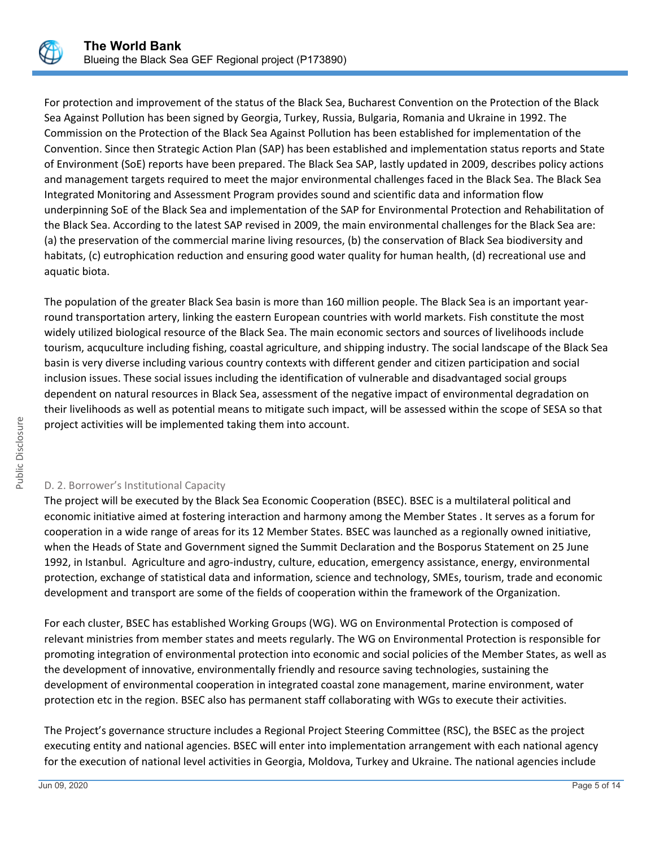

For protection and improvement of the status of the Black Sea, Bucharest Convention on the Protection of the Black Sea Against Pollution has been signed by Georgia, Turkey, Russia, Bulgaria, Romania and Ukraine in 1992. The Commission on the Protection of the Black Sea Against Pollution has been established for implementation of the Convention. Since then Strategic Action Plan (SAP) has been established and implementation status reports and State of Environment (SoE) reports have been prepared. The Black Sea SAP, lastly updated in 2009, describes policy actions and management targets required to meet the major environmental challenges faced in the Black Sea. The Black Sea Integrated Monitoring and Assessment Program provides sound and scientific data and information flow underpinning SoE of the Black Sea and implementation of the SAP for Environmental Protection and Rehabilitation of the Black Sea. According to the latest SAP revised in 2009, the main environmental challenges for the Black Sea are: (a) the preservation of the commercial marine living resources, (b) the conservation of Black Sea biodiversity and habitats, (c) eutrophication reduction and ensuring good water quality for human health, (d) recreational use and aquatic biota.

The population of the greater Black Sea basin is more than 160 million people. The Black Sea is an important yearround transportation artery, linking the eastern European countries with world markets. Fish constitute the most widely utilized biological resource of the Black Sea. The main economic sectors and sources of livelihoods include tourism, acquculture including fishing, coastal agriculture, and shipping industry. The social landscape of the Black Sea basin is very diverse including various country contexts with different gender and citizen participation and social inclusion issues. These social issues including the identification of vulnerable and disadvantaged social groups dependent on natural resources in Black Sea, assessment of the negative impact of environmental degradation on their livelihoods as well as potential means to mitigate such impact, will be assessed within the scope of SESA so that project activities will be implemented taking them into account.

## D. 2. Borrower's Institutional Capacity

The project will be executed by the Black Sea Economic Cooperation (BSEC). BSEC is a multilateral political and economic initiative aimed at fostering interaction and harmony among the Member States . It serves as a forum for cooperation in a wide range of areas for its 12 Member States. BSEC was launched as a regionally owned initiative, when the Heads of State and Government signed the Summit Declaration and the Bosporus Statement on 25 June 1992, in Istanbul. Agriculture and agro-industry, culture, education, emergency assistance, energy, environmental protection, exchange of statistical data and information, science and technology, SMEs, tourism, trade and economic development and transport are some of the fields of cooperation within the framework of the Organization.

For each cluster, BSEC has established Working Groups (WG). WG on Environmental Protection is composed of relevant ministries from member states and meets regularly. The WG on Environmental Protection is responsible for promoting integration of environmental protection into economic and social policies of the Member States, as well as the development of innovative, environmentally friendly and resource saving technologies, sustaining the development of environmental cooperation in integrated coastal zone management, marine environment, water protection etc in the region. BSEC also has permanent staff collaborating with WGs to execute their activities.

The Project's governance structure includes a Regional Project Steering Committee (RSC), the BSEC as the project executing entity and national agencies. BSEC will enter into implementation arrangement with each national agency for the execution of national level activities in Georgia, Moldova, Turkey and Ukraine. The national agencies include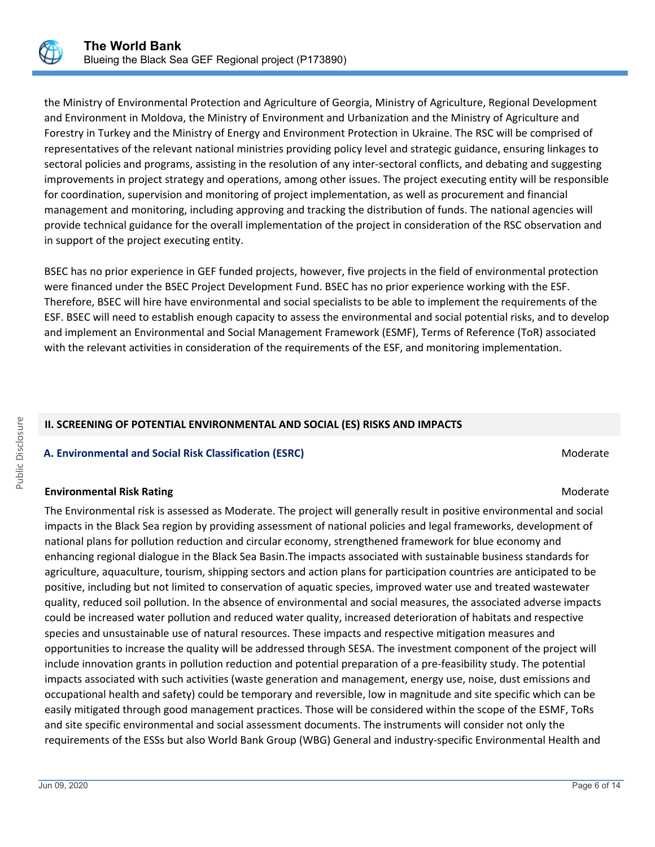

the Ministry of Environmental Protection and Agriculture of Georgia, Ministry of Agriculture, Regional Development and Environment in Moldova, the Ministry of Environment and Urbanization and the Ministry of Agriculture and Forestry in Turkey and the Ministry of Energy and Environment Protection in Ukraine. The RSC will be comprised of representatives of the relevant national ministries providing policy level and strategic guidance, ensuring linkages to sectoral policies and programs, assisting in the resolution of any inter-sectoral conflicts, and debating and suggesting improvements in project strategy and operations, among other issues. The project executing entity will be responsible for coordination, supervision and monitoring of project implementation, as well as procurement and financial management and monitoring, including approving and tracking the distribution of funds. The national agencies will provide technical guidance for the overall implementation of the project in consideration of the RSC observation and in support of the project executing entity.

BSEC has no prior experience in GEF funded projects, however, five projects in the field of environmental protection were financed under the BSEC Project Development Fund. BSEC has no prior experience working with the ESF. Therefore, BSEC will hire have environmental and social specialists to be able to implement the requirements of the ESF. BSEC will need to establish enough capacity to assess the environmental and social potential risks, and to develop and implement an Environmental and Social Management Framework (ESMF), Terms of Reference (ToR) associated with the relevant activities in consideration of the requirements of the ESF, and monitoring implementation.

# **II. SCREENING OF POTENTIAL ENVIRONMENTAL AND SOCIAL (ES) RISKS AND IMPACTS**

# **A. Environmental and Social Risk Classification (ESRC) Moderate Social Risk Classification (ESRC) Moderate** Moderate

## **Environmental Risk Rating Moderate School School School School School School School School School School School School School School School School School School School School School School School School School School Scho**

The Environmental risk is assessed as Moderate. The project will generally result in positive environmental and social impacts in the Black Sea region by providing assessment of national policies and legal frameworks, development of national plans for pollution reduction and circular economy, strengthened framework for blue economy and enhancing regional dialogue in the Black Sea Basin.The impacts associated with sustainable business standards for agriculture, aquaculture, tourism, shipping sectors and action plans for participation countries are anticipated to be positive, including but not limited to conservation of aquatic species, improved water use and treated wastewater quality, reduced soil pollution. In the absence of environmental and social measures, the associated adverse impacts could be increased water pollution and reduced water quality, increased deterioration of habitats and respective species and unsustainable use of natural resources. These impacts and respective mitigation measures and opportunities to increase the quality will be addressed through SESA. The investment component of the project will include innovation grants in pollution reduction and potential preparation of a pre-feasibility study. The potential impacts associated with such activities (waste generation and management, energy use, noise, dust emissions and occupational health and safety) could be temporary and reversible, low in magnitude and site specific which can be easily mitigated through good management practices. Those will be considered within the scope of the ESMF, ToRs and site specific environmental and social assessment documents. The instruments will consider not only the requirements of the ESSs but also World Bank Group (WBG) General and industry-specific Environmental Health and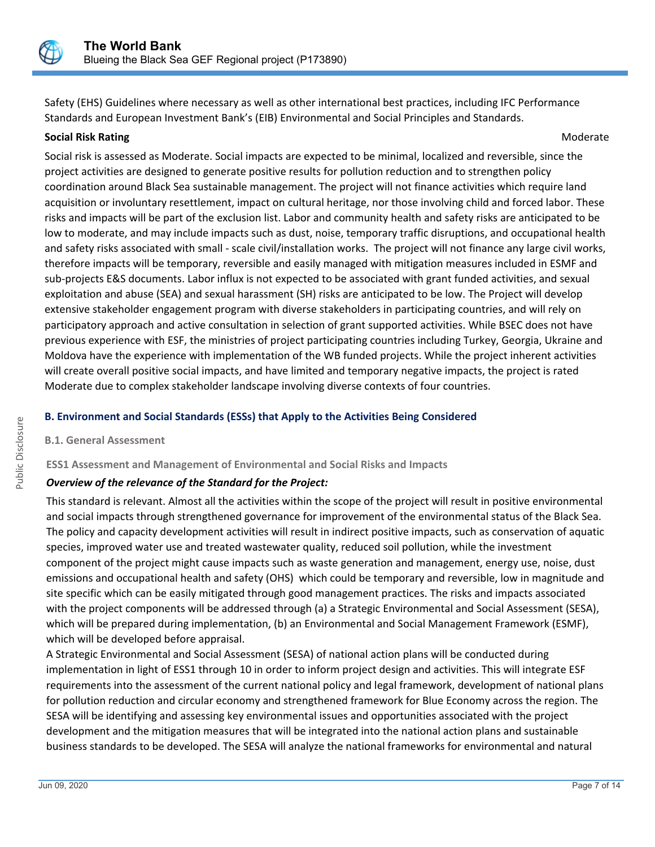

Safety (EHS) Guidelines where necessary as well as other international best practices, including IFC Performance Standards and European Investment Bank's (EIB) Environmental and Social Principles and Standards.

#### **Social Risk Rating Moderate** Museum of the Control of the Control of the Control of the Control of the Control of the Control of the Control of the Control of the Control of the Control of the Control of the Control of th

Social risk is assessed as Moderate. Social impacts are expected to be minimal, localized and reversible, since the project activities are designed to generate positive results for pollution reduction and to strengthen policy coordination around Black Sea sustainable management. The project will not finance activities which require land acquisition or involuntary resettlement, impact on cultural heritage, nor those involving child and forced labor. These risks and impacts will be part of the exclusion list. Labor and community health and safety risks are anticipated to be low to moderate, and may include impacts such as dust, noise, temporary traffic disruptions, and occupational health and safety risks associated with small - scale civil/installation works. The project will not finance any large civil works, therefore impacts will be temporary, reversible and easily managed with mitigation measures included in ESMF and sub-projects E&S documents. Labor influx is not expected to be associated with grant funded activities, and sexual exploitation and abuse (SEA) and sexual harassment (SH) risks are anticipated to be low. The Project will develop extensive stakeholder engagement program with diverse stakeholders in participating countries, and will rely on participatory approach and active consultation in selection of grant supported activities. While BSEC does not have previous experience with ESF, the ministries of project participating countries including Turkey, Georgia, Ukraine and Moldova have the experience with implementation of the WB funded projects. While the project inherent activities will create overall positive social impacts, and have limited and temporary negative impacts, the project is rated Moderate due to complex stakeholder landscape involving diverse contexts of four countries.

# **B. Environment and Social Standards (ESSs) that Apply to the Activities Being Considered**

## **B.1. General Assessment**

## **ESS1 Assessment and Management of Environmental and Social Risks and Impacts**

## *Overview of the relevance of the Standard for the Project:*

This standard is relevant. Almost all the activities within the scope of the project will result in positive environmental and social impacts through strengthened governance for improvement of the environmental status of the Black Sea. The policy and capacity development activities will result in indirect positive impacts, such as conservation of aquatic species, improved water use and treated wastewater quality, reduced soil pollution, while the investment component of the project might cause impacts such as waste generation and management, energy use, noise, dust emissions and occupational health and safety (OHS) which could be temporary and reversible, low in magnitude and site specific which can be easily mitigated through good management practices. The risks and impacts associated with the project components will be addressed through (a) a Strategic Environmental and Social Assessment (SESA), which will be prepared during implementation, (b) an Environmental and Social Management Framework (ESMF), which will be developed before appraisal.

A Strategic Environmental and Social Assessment (SESA) of national action plans will be conducted during implementation in light of ESS1 through 10 in order to inform project design and activities. This will integrate ESF requirements into the assessment of the current national policy and legal framework, development of national plans for pollution reduction and circular economy and strengthened framework for Blue Economy across the region. The SESA will be identifying and assessing key environmental issues and opportunities associated with the project development and the mitigation measures that will be integrated into the national action plans and sustainable business standards to be developed. The SESA will analyze the national frameworks for environmental and natural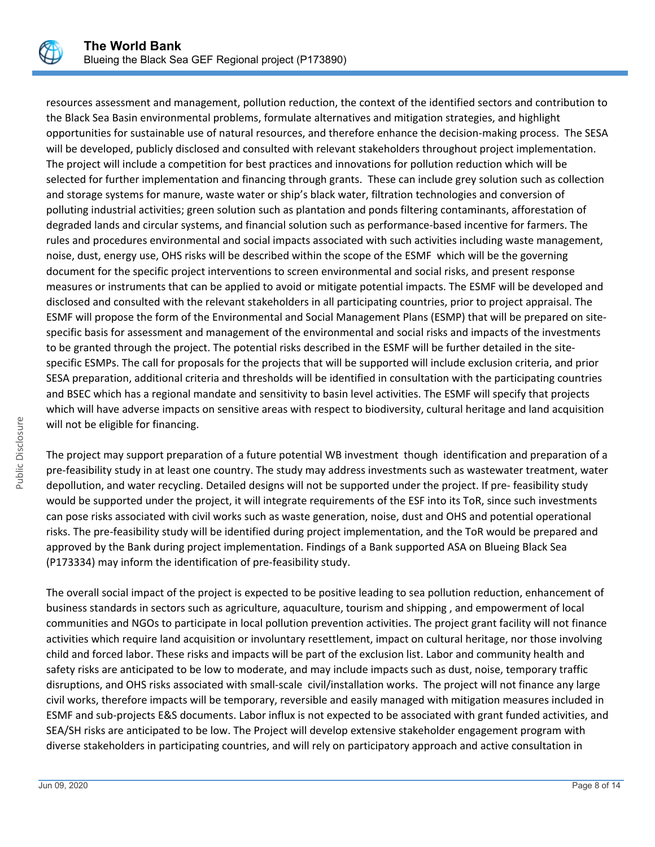

resources assessment and management, pollution reduction, the context of the identified sectors and contribution to the Black Sea Basin environmental problems, formulate alternatives and mitigation strategies, and highlight opportunities for sustainable use of natural resources, and therefore enhance the decision-making process. The SESA will be developed, publicly disclosed and consulted with relevant stakeholders throughout project implementation. The project will include a competition for best practices and innovations for pollution reduction which will be selected for further implementation and financing through grants. These can include grey solution such as collection and storage systems for manure, waste water or ship's black water, filtration technologies and conversion of polluting industrial activities; green solution such as plantation and ponds filtering contaminants, afforestation of degraded lands and circular systems, and financial solution such as performance-based incentive for farmers. The rules and procedures environmental and social impacts associated with such activities including waste management, noise, dust, energy use, OHS risks will be described within the scope of the ESMF which will be the governing document for the specific project interventions to screen environmental and social risks, and present response measures or instruments that can be applied to avoid or mitigate potential impacts. The ESMF will be developed and disclosed and consulted with the relevant stakeholders in all participating countries, prior to project appraisal. The ESMF will propose the form of the Environmental and Social Management Plans (ESMP) that will be prepared on sitespecific basis for assessment and management of the environmental and social risks and impacts of the investments to be granted through the project. The potential risks described in the ESMF will be further detailed in the sitespecific ESMPs. The call for proposals for the projects that will be supported will include exclusion criteria, and prior SESA preparation, additional criteria and thresholds will be identified in consultation with the participating countries and BSEC which has a regional mandate and sensitivity to basin level activities. The ESMF will specify that projects which will have adverse impacts on sensitive areas with respect to biodiversity, cultural heritage and land acquisition will not be eligible for financing.

The project may support preparation of a future potential WB investment though identification and preparation of a pre-feasibility study in at least one country. The study may address investments such as wastewater treatment, water depollution, and water recycling. Detailed designs will not be supported under the project. If pre- feasibility study would be supported under the project, it will integrate requirements of the ESF into its ToR, since such investments can pose risks associated with civil works such as waste generation, noise, dust and OHS and potential operational risks. The pre-feasibility study will be identified during project implementation, and the ToR would be prepared and approved by the Bank during project implementation. Findings of a Bank supported ASA on Blueing Black Sea (P173334) may inform the identification of pre-feasibility study.

The overall social impact of the project is expected to be positive leading to sea pollution reduction, enhancement of business standards in sectors such as agriculture, aquaculture, tourism and shipping , and empowerment of local communities and NGOs to participate in local pollution prevention activities. The project grant facility will not finance activities which require land acquisition or involuntary resettlement, impact on cultural heritage, nor those involving child and forced labor. These risks and impacts will be part of the exclusion list. Labor and community health and safety risks are anticipated to be low to moderate, and may include impacts such as dust, noise, temporary traffic disruptions, and OHS risks associated with small-scale civil/installation works. The project will not finance any large civil works, therefore impacts will be temporary, reversible and easily managed with mitigation measures included in ESMF and sub-projects E&S documents. Labor influx is not expected to be associated with grant funded activities, and SEA/SH risks are anticipated to be low. The Project will develop extensive stakeholder engagement program with diverse stakeholders in participating countries, and will rely on participatory approach and active consultation in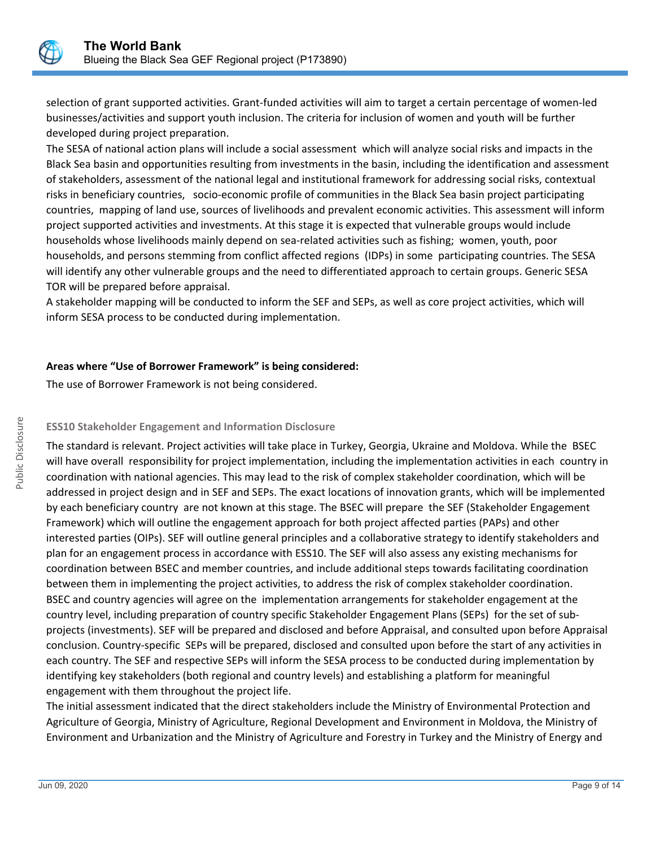

selection of grant supported activities. Grant-funded activities will aim to target a certain percentage of women-led businesses/activities and support youth inclusion. The criteria for inclusion of women and youth will be further developed during project preparation.

The SESA of national action plans will include a social assessment which will analyze social risks and impacts in the Black Sea basin and opportunities resulting from investments in the basin, including the identification and assessment of stakeholders, assessment of the national legal and institutional framework for addressing social risks, contextual risks in beneficiary countries, socio-economic profile of communities in the Black Sea basin project participating countries, mapping of land use, sources of livelihoods and prevalent economic activities. This assessment will inform project supported activities and investments. At this stage it is expected that vulnerable groups would include households whose livelihoods mainly depend on sea-related activities such as fishing; women, youth, poor households, and persons stemming from conflict affected regions (IDPs) in some participating countries. The SESA will identify any other vulnerable groups and the need to differentiated approach to certain groups. Generic SESA TOR will be prepared before appraisal.

A stakeholder mapping will be conducted to inform the SEF and SEPs, as well as core project activities, which will inform SESA process to be conducted during implementation.

## **Areas where "Use of Borrower Framework" is being considered:**

The use of Borrower Framework is not being considered.

## **ESS10 Stakeholder Engagement and Information Disclosure**

The standard is relevant. Project activities will take place in Turkey, Georgia, Ukraine and Moldova. While the BSEC will have overall responsibility for project implementation, including the implementation activities in each country in coordination with national agencies. This may lead to the risk of complex stakeholder coordination, which will be addressed in project design and in SEF and SEPs. The exact locations of innovation grants, which will be implemented by each beneficiary country are not known at this stage. The BSEC will prepare the SEF (Stakeholder Engagement Framework) which will outline the engagement approach for both project affected parties (PAPs) and other interested parties (OIPs). SEF will outline general principles and a collaborative strategy to identify stakeholders and plan for an engagement process in accordance with ESS10. The SEF will also assess any existing mechanisms for coordination between BSEC and member countries, and include additional steps towards facilitating coordination between them in implementing the project activities, to address the risk of complex stakeholder coordination. BSEC and country agencies will agree on the implementation arrangements for stakeholder engagement at the country level, including preparation of country specific Stakeholder Engagement Plans (SEPs) for the set of subprojects (investments). SEF will be prepared and disclosed and before Appraisal, and consulted upon before Appraisal conclusion. Country-specific SEPs will be prepared, disclosed and consulted upon before the start of any activities in each country. The SEF and respective SEPs will inform the SESA process to be conducted during implementation by identifying key stakeholders (both regional and country levels) and establishing a platform for meaningful engagement with them throughout the project life.

The initial assessment indicated that the direct stakeholders include the Ministry of Environmental Protection and Agriculture of Georgia, Ministry of Agriculture, Regional Development and Environment in Moldova, the Ministry of Environment and Urbanization and the Ministry of Agriculture and Forestry in Turkey and the Ministry of Energy and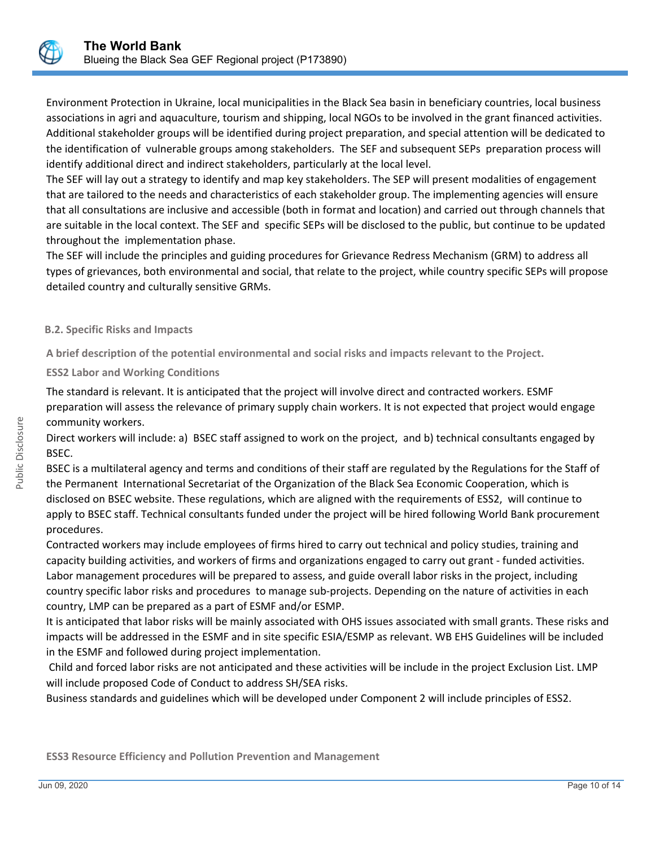

Environment Protection in Ukraine, local municipalities in the Black Sea basin in beneficiary countries, local business associations in agri and aquaculture, tourism and shipping, local NGOs to be involved in the grant financed activities. Additional stakeholder groups will be identified during project preparation, and special attention will be dedicated to the identification of vulnerable groups among stakeholders. The SEF and subsequent SEPs preparation process will identify additional direct and indirect stakeholders, particularly at the local level.

The SEF will lay out a strategy to identify and map key stakeholders. The SEP will present modalities of engagement that are tailored to the needs and characteristics of each stakeholder group. The implementing agencies will ensure that all consultations are inclusive and accessible (both in format and location) and carried out through channels that are suitable in the local context. The SEF and specific SEPs will be disclosed to the public, but continue to be updated throughout the implementation phase.

The SEF will include the principles and guiding procedures for Grievance Redress Mechanism (GRM) to address all types of grievances, both environmental and social, that relate to the project, while country specific SEPs will propose detailed country and culturally sensitive GRMs.

## **B.2. Specific Risks and Impacts**

**A brief description of the potential environmental and social risks and impacts relevant to the Project.**

**ESS2 Labor and Working Conditions**

The standard is relevant. It is anticipated that the project will involve direct and contracted workers. ESMF preparation will assess the relevance of primary supply chain workers. It is not expected that project would engage community workers.

Direct workers will include: a) BSEC staff assigned to work on the project, and b) technical consultants engaged by BSEC.

BSEC is a multilateral agency and terms and conditions of their staff are regulated by the Regulations for the Staff of the Permanent International Secretariat of the Organization of the Black Sea Economic Cooperation, which is disclosed on BSEC website. These regulations, which are aligned with the requirements of ESS2, will continue to apply to BSEC staff. Technical consultants funded under the project will be hired following World Bank procurement procedures.

Contracted workers may include employees of firms hired to carry out technical and policy studies, training and capacity building activities, and workers of firms and organizations engaged to carry out grant - funded activities. Labor management procedures will be prepared to assess, and guide overall labor risks in the project, including country specific labor risks and procedures to manage sub-projects. Depending on the nature of activities in each country, LMP can be prepared as a part of ESMF and/or ESMP.

It is anticipated that labor risks will be mainly associated with OHS issues associated with small grants. These risks and impacts will be addressed in the ESMF and in site specific ESIA/ESMP as relevant. WB EHS Guidelines will be included in the ESMF and followed during project implementation.

 Child and forced labor risks are not anticipated and these activities will be include in the project Exclusion List. LMP will include proposed Code of Conduct to address SH/SEA risks.

Business standards and guidelines which will be developed under Component 2 will include principles of ESS2.

**ESS3 Resource Efficiency and Pollution Prevention and Management**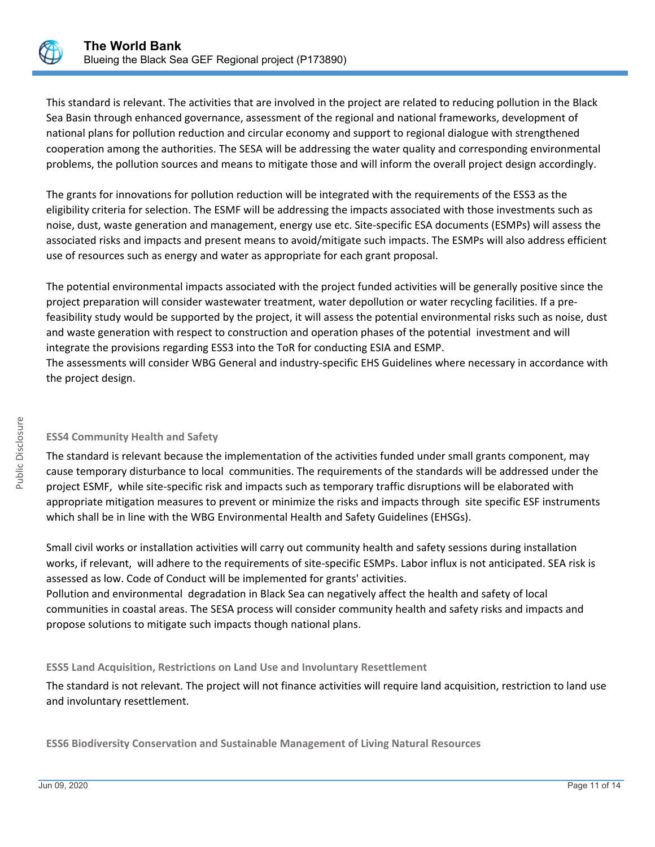

This standard is relevant. The activities that are involved in the project are related to reducing pollution in the Black Sea Basin through enhanced governance, assessment of the regional and national frameworks, development of national plans for pollution reduction and circular economy and support to regional dialogue with strengthened cooperation among the authorities. The SESA will be addressing the water quality and corresponding environmental problems, the pollution sources and means to mitigate those and will inform the overall project design accordingly.

The grants for innovations for pollution reduction will be integrated with the requirements of the ESS3 as the eligibility criteria for selection. The ESMF will be addressing the impacts associated with those investments such as noise, dust, waste generation and management, energy use etc. Site-specific ESA documents (ESMPs) will assess the associated risks and impacts and present means to avoid/mitigate such impacts. The ESMPs will also address efficient use of resources such as energy and water as appropriate for each grant proposal.

The potential environmental impacts associated with the project funded activities will be generally positive since the project preparation will consider wastewater treatment, water depollution or water recycling facilities. If a prefeasibility study would be supported by the project, it will assess the potential environmental risks such as noise, dust and waste generation with respect to construction and operation phases of the potential investment and will integrate the provisions regarding ESS3 into the ToR for conducting ESIA and ESMP. The assessments will consider WBG General and industry-specific EHS Guidelines where necessary in accordance with

the project design.

# **ESS4 Community Health and Safety**

The standard is relevant because the implementation of the activities funded under small grants component, may cause temporary disturbance to local communities. The requirements of the standards will be addressed under the project ESMF, while site-specific risk and impacts such as temporary traffic disruptions will be elaborated with appropriate mitigation measures to prevent or minimize the risks and impacts through site specific ESF instruments which shall be in line with the WBG Environmental Health and Safety Guidelines (EHSGs).

Small civil works or installation activities will carry out community health and safety sessions during installation works, if relevant, will adhere to the requirements of site-specific ESMPs. Labor influx is not anticipated. SEA risk is assessed as low. Code of Conduct will be implemented for grants' activities.

Pollution and environmental degradation in Black Sea can negatively affect the health and safety of local communities in coastal areas. The SESA process will consider community health and safety risks and impacts and propose solutions to mitigate such impacts though national plans.

# **ESS5 Land Acquisition, Restrictions on Land Use and Involuntary Resettlement**

The standard is not relevant. The project will not finance activities will require land acquisition, restriction to land use and involuntary resettlement.

**ESS6 Biodiversity Conservation and Sustainable Management of Living Natural Resources**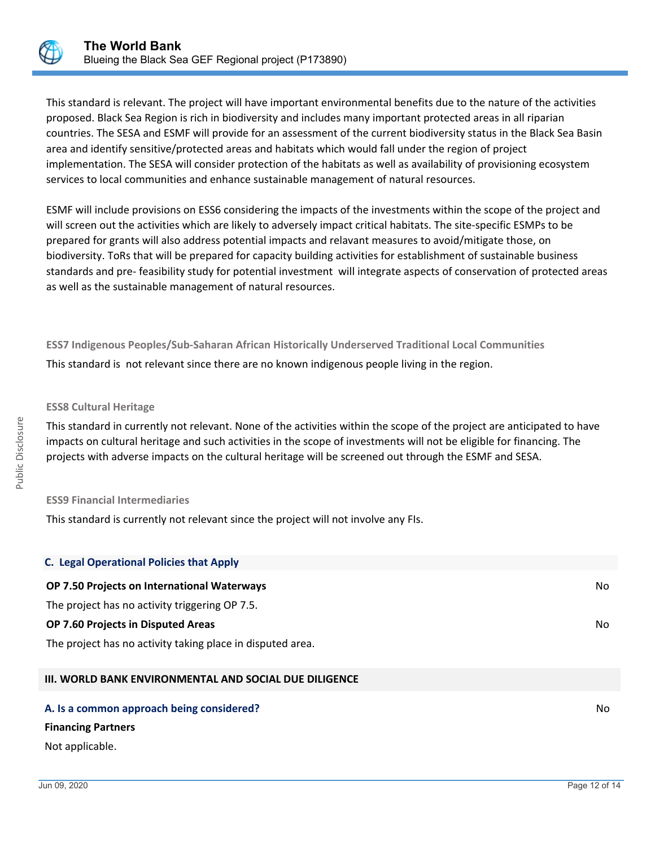

This standard is relevant. The project will have important environmental benefits due to the nature of the activities proposed. Black Sea Region is rich in biodiversity and includes many important protected areas in all riparian countries. The SESA and ESMF will provide for an assessment of the current biodiversity status in the Black Sea Basin area and identify sensitive/protected areas and habitats which would fall under the region of project implementation. The SESA will consider protection of the habitats as well as availability of provisioning ecosystem services to local communities and enhance sustainable management of natural resources.

ESMF will include provisions on ESS6 considering the impacts of the investments within the scope of the project and will screen out the activities which are likely to adversely impact critical habitats. The site-specific ESMPs to be prepared for grants will also address potential impacts and relavant measures to avoid/mitigate those, on biodiversity. ToRs that will be prepared for capacity building activities for establishment of sustainable business standards and pre- feasibility study for potential investment will integrate aspects of conservation of protected areas as well as the sustainable management of natural resources.

**ESS7 Indigenous Peoples/Sub-Saharan African Historically Underserved Traditional Local Communities**

This standard is not relevant since there are no known indigenous people living in the region.

## **ESS8 Cultural Heritage**

Public Disclosure

Public Disclosure

This standard in currently not relevant. None of the activities within the scope of the project are anticipated to have impacts on cultural heritage and such activities in the scope of investments will not be eligible for financing. The projects with adverse impacts on the cultural heritage will be screened out through the ESMF and SESA.

## **ESS9 Financial Intermediaries**

This standard is currently not relevant since the project will not involve any FIs.

| <b>C. Legal Operational Policies that Apply</b>               |    |
|---------------------------------------------------------------|----|
| OP 7.50 Projects on International Waterways                   | No |
| The project has no activity triggering OP 7.5.                |    |
| OP 7.60 Projects in Disputed Areas                            | No |
| The project has no activity taking place in disputed area.    |    |
| <b>III. WORLD BANK ENVIRONMENTAL AND SOCIAL DUE DILIGENCE</b> |    |

#### **A. Is a common approach being considered?** No **No. 2016** No. 2016 No. 2017 No. 2018 No. 2018 No. 2019 No. 2019 No

#### **Financing Partners**

#### Not applicable.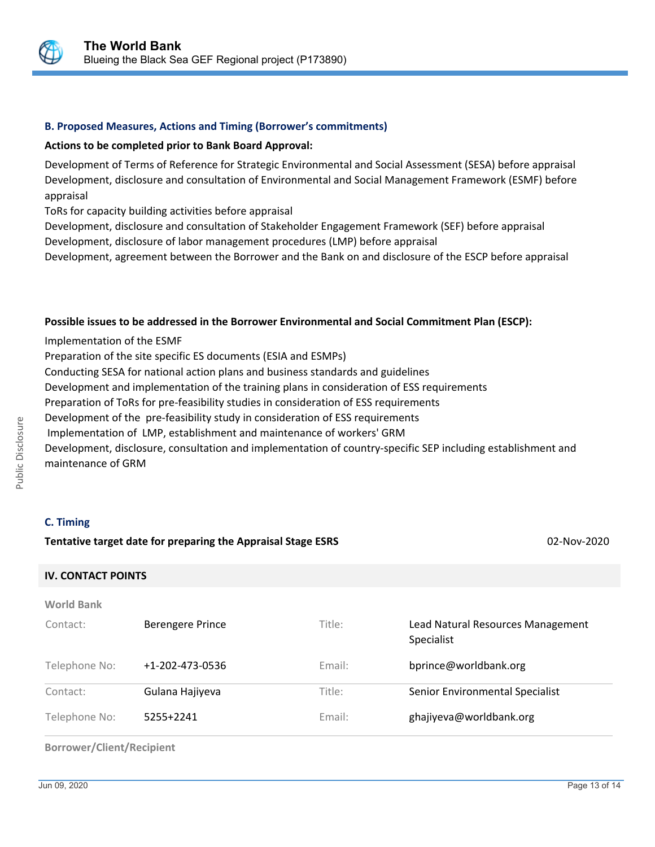

#### **B. Proposed Measures, Actions and Timing (Borrower's commitments)**

#### **Actions to be completed prior to Bank Board Approval:**

Development of Terms of Reference for Strategic Environmental and Social Assessment (SESA) before appraisal Development, disclosure and consultation of Environmental and Social Management Framework (ESMF) before appraisal

ToRs for capacity building activities before appraisal

Development, disclosure and consultation of Stakeholder Engagement Framework (SEF) before appraisal Development, disclosure of labor management procedures (LMP) before appraisal

Development, agreement between the Borrower and the Bank on and disclosure of the ESCP before appraisal

#### **Possible issues to be addressed in the Borrower Environmental and Social Commitment Plan (ESCP):**

Implementation of the ESMF

Preparation of the site specific ES documents (ESIA and ESMPs)

Conducting SESA for national action plans and business standards and guidelines

Development and implementation of the training plans in consideration of ESS requirements

Preparation of ToRs for pre-feasibility studies in consideration of ESS requirements

Development of the pre-feasibility study in consideration of ESS requirements

Implementation of LMP, establishment and maintenance of workers' GRM

Development, disclosure, consultation and implementation of country-specific SEP including establishment and maintenance of GRM

## **C. Timing**

#### **Tentative target date for preparing the Appraisal Stage ESRS** 02-Nov-2020

#### **IV. CONTACT POINTS**

| <b>World Bank</b> |                         |        |                                                 |
|-------------------|-------------------------|--------|-------------------------------------------------|
| Contact:          | <b>Berengere Prince</b> | Title: | Lead Natural Resources Management<br>Specialist |
| Telephone No:     | +1-202-473-0536         | Email: | bprince@worldbank.org                           |
| Contact:          | Gulana Hajiyeva         | Title: | Senior Environmental Specialist                 |
| Telephone No:     | 5255+2241               | Email: | ghajiyeva@worldbank.org                         |

#### **Borrower/Client/Recipient**